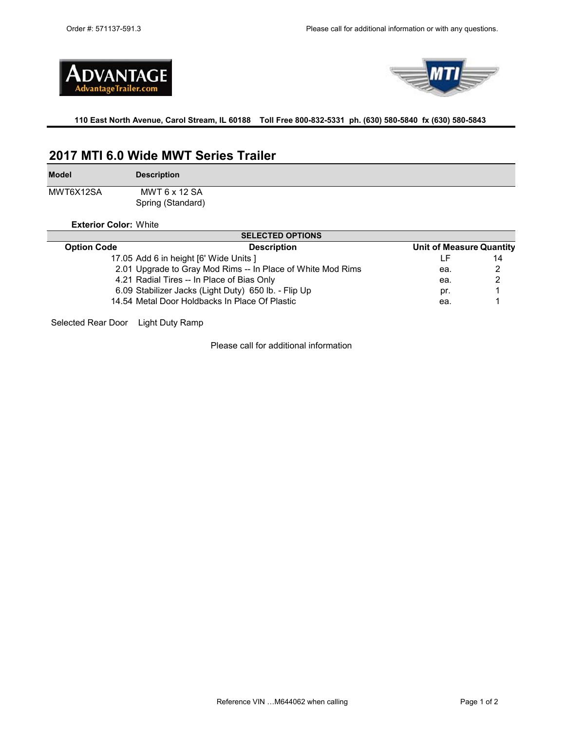



**110 East North Avenue, Carol Stream, IL 60188 Toll Free 800-832-5331 ph. (630) 580-5840 fx (630) 580-5843** 

# **2017 MTI 6.0 Wide MWT Series Trailer**

**Model**

**Description**

MWT6X12SA Spring (Standard) MWT 6 x 12 SA

**Exterior Color:** White

|                    | <b>SELECTED OPTIONS</b>                                     |                                 |    |  |
|--------------------|-------------------------------------------------------------|---------------------------------|----|--|
| <b>Option Code</b> | <b>Description</b>                                          | <b>Unit of Measure Quantity</b> |    |  |
|                    | 17.05 Add 6 in height [6' Wide Units ]                      |                                 | 14 |  |
|                    | 2.01 Upgrade to Gray Mod Rims -- In Place of White Mod Rims | ea.                             | 2  |  |
|                    | 4.21 Radial Tires -- In Place of Bias Only                  | ea.                             | 2  |  |
|                    | 6.09 Stabilizer Jacks (Light Duty) 650 lb. - Flip Up        | pr.                             |    |  |
|                    | 14.54 Metal Door Holdbacks In Place Of Plastic              | ea.                             |    |  |
|                    |                                                             |                                 |    |  |

Selected Rear Door Light Duty Ramp

Please call for additional information